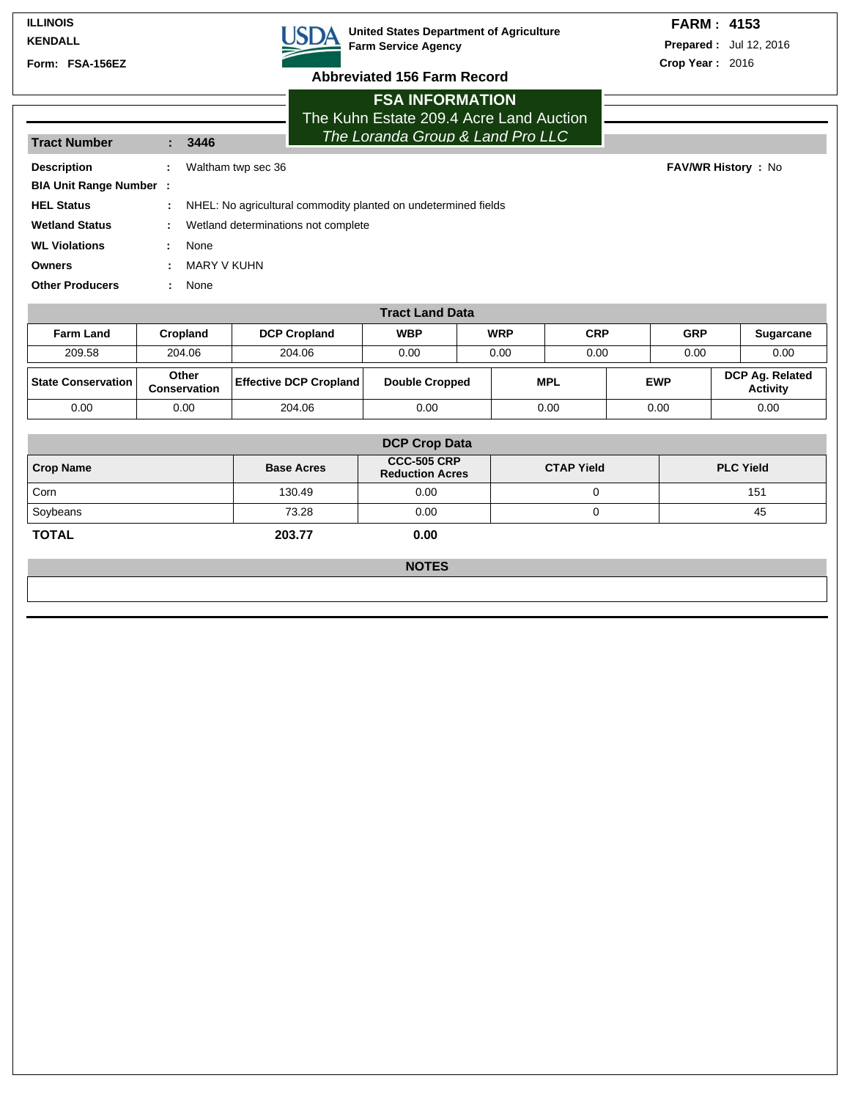#### **ILLINOIS KENDALL**

**Form: FSA-156EZ**



**USDA** United States Department of Agriculture **Farm Service Agency**

## **FARM : 4153**

**Prepared :** Jul 12, 2016 **Crop Year :** 2016

**FAV/WR History : No** 

# **Abbreviated 156 Farm Record FSA INFORMATION**

The Kuhn Estate 209.4 Acre Land Auction The Loranda Group & Land Pro LLC

| <b>Tract Number</b>           |    | πι <del>σ</del> Luianua סוטעוט α Land<br>3446                  |  |  |  |  |  |
|-------------------------------|----|----------------------------------------------------------------|--|--|--|--|--|
| <b>Description</b>            | ÷. | Waltham twp sec 36                                             |  |  |  |  |  |
| <b>BIA Unit Range Number:</b> |    |                                                                |  |  |  |  |  |
| <b>HEL Status</b>             | ÷. | NHEL: No agricultural commodity planted on undetermined fields |  |  |  |  |  |
| <b>Wetland Status</b>         | ÷. | Wetland determinations not complete                            |  |  |  |  |  |
| <b>WL Violations</b>          | ÷. | None                                                           |  |  |  |  |  |
| <b>Owners</b>                 |    | MARY V KUHN                                                    |  |  |  |  |  |
| <b>Other Producers</b>        |    | None                                                           |  |  |  |  |  |
|                               |    |                                                                |  |  |  |  |  |

| <b>Tract Land Data</b> |                              |                               |                       |            |      |            |            |            |              |                             |
|------------------------|------------------------------|-------------------------------|-----------------------|------------|------|------------|------------|------------|--------------|-----------------------------|
| <b>Farm Land</b>       | Cropland                     | <b>DCP Cropland</b>           | <b>WBP</b>            | <b>WRP</b> |      | <b>CRP</b> |            | <b>GRP</b> |              | <b>Sugarcane</b>            |
| 209.58                 | 204.06                       | 204.06                        | 0.00                  |            | 0.00 | 0.00       |            |            | 0.00<br>0.00 |                             |
| State Conservation     | Other<br><b>Conservation</b> | <b>Effective DCP Cropland</b> | <b>Double Cropped</b> |            | MPL  |            | <b>EWP</b> |            |              | DCP Ag. Related<br>Activity |
| 0.00                   | 0.00                         | 204.06                        | 0.00                  |            | 0.00 |            | 0.00       |            |              | 0.00                        |

| <b>DCP Crop Data</b> |                   |                                              |                   |                  |  |  |  |  |
|----------------------|-------------------|----------------------------------------------|-------------------|------------------|--|--|--|--|
| <b>Crop Name</b>     | <b>Base Acres</b> | <b>CCC-505 CRP</b><br><b>Reduction Acres</b> | <b>CTAP Yield</b> | <b>PLC Yield</b> |  |  |  |  |
| Corn                 | 130.49            | 0.00                                         |                   | 151              |  |  |  |  |
| Soybeans             | 73.28             | 0.00                                         |                   | 45               |  |  |  |  |
| <b>TOTAL</b>         | 203.77            | 0.00                                         |                   |                  |  |  |  |  |

**NOTES**